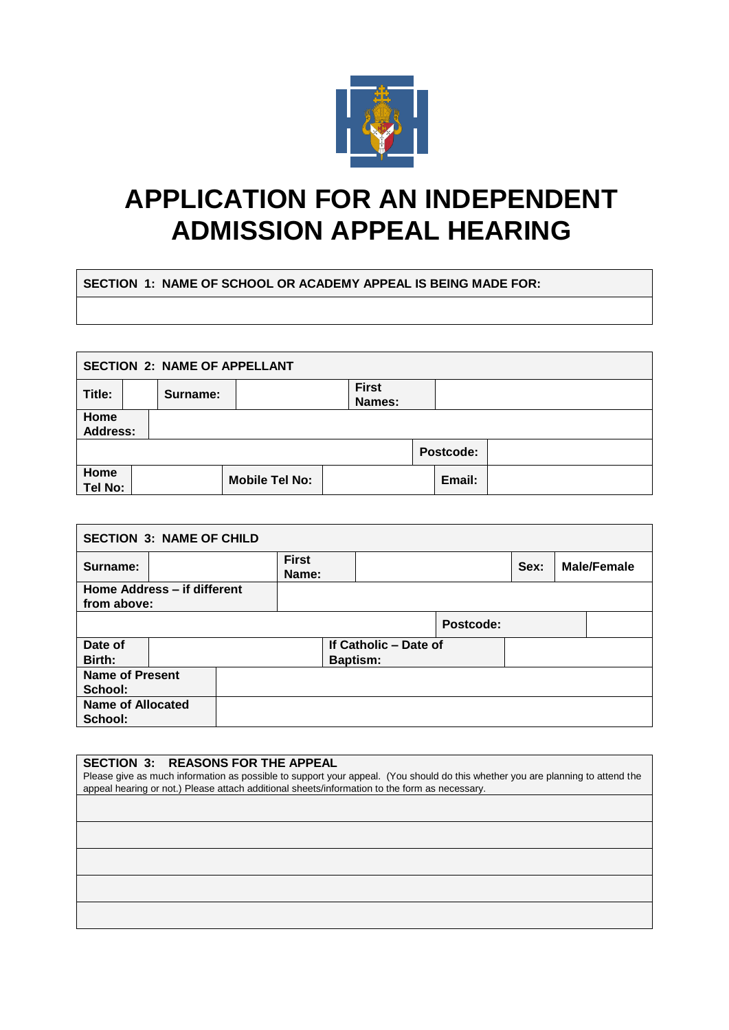

## **APPLICATION FOR AN INDEPENDENT ADMISSION APPEAL HEARING**

## **SECTION 1: NAME OF SCHOOL OR ACADEMY APPEAL IS BEING MADE FOR:**

| <b>SECTION 2: NAME OF APPELLANT</b> |  |          |                       |                        |  |           |  |
|-------------------------------------|--|----------|-----------------------|------------------------|--|-----------|--|
| Title:                              |  | Surname: |                       | <b>First</b><br>Names: |  |           |  |
| Home<br><b>Address:</b>             |  |          |                       |                        |  |           |  |
|                                     |  |          |                       |                        |  | Postcode: |  |
| Home<br>Tel No:                     |  |          | <b>Mobile Tel No:</b> |                        |  | Email:    |  |

| <b>SECTION 3: NAME OF CHILD</b> |  |  |                       |                 |                       |           |      |  |                    |
|---------------------------------|--|--|-----------------------|-----------------|-----------------------|-----------|------|--|--------------------|
| Surname:                        |  |  | <b>First</b><br>Name: |                 |                       |           | Sex: |  | <b>Male/Female</b> |
| Home Address - if different     |  |  |                       |                 |                       |           |      |  |                    |
| from above:                     |  |  |                       |                 |                       |           |      |  |                    |
|                                 |  |  |                       |                 |                       | Postcode: |      |  |                    |
| Date of                         |  |  |                       |                 | If Catholic - Date of |           |      |  |                    |
| Birth:                          |  |  |                       | <b>Baptism:</b> |                       |           |      |  |                    |
| <b>Name of Present</b>          |  |  |                       |                 |                       |           |      |  |                    |
| School:                         |  |  |                       |                 |                       |           |      |  |                    |
| <b>Name of Allocated</b>        |  |  |                       |                 |                       |           |      |  |                    |
| School:                         |  |  |                       |                 |                       |           |      |  |                    |

## **SECTION 3: REASONS FOR THE APPEAL**

Please give as much information as possible to support your appeal. (You should do this whether you are planning to attend the appeal hearing or not.) Please attach additional sheets/information to the form as necessary.